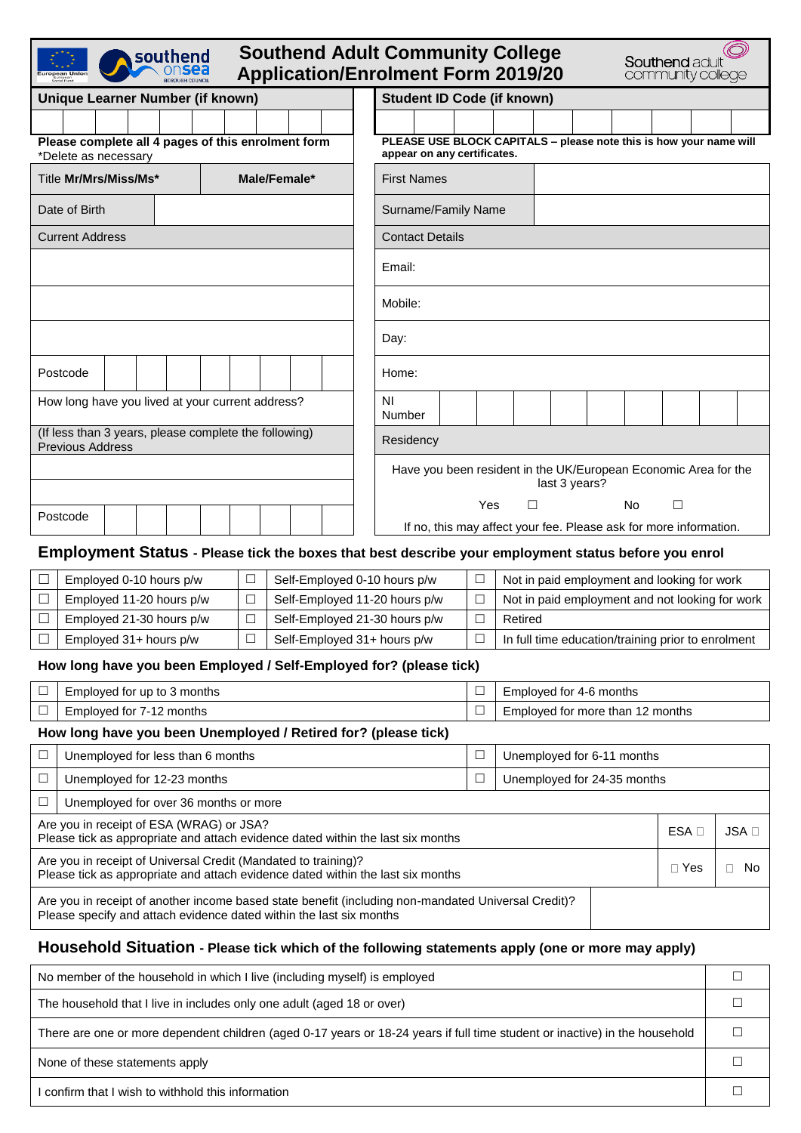| <b>Southend Adult Community College</b><br>southend<br><b>Southend adult</b><br><b>Application/Enrolment Form 2019/20</b><br>community college                               |                                       |                                   |                                                                 |                                                                               |   |     |  |
|------------------------------------------------------------------------------------------------------------------------------------------------------------------------------|---------------------------------------|-----------------------------------|-----------------------------------------------------------------|-------------------------------------------------------------------------------|---|-----|--|
| <b>Unique Learner Number (if known)</b>                                                                                                                                      |                                       | <b>Student ID Code (if known)</b> |                                                                 |                                                                               |   |     |  |
|                                                                                                                                                                              |                                       |                                   |                                                                 |                                                                               |   |     |  |
| Please complete all 4 pages of this enrolment form<br>*Delete as necessary                                                                                                   |                                       | appear on any certificates.       |                                                                 | PLEASE USE BLOCK CAPITALS - please note this is how your name will            |   |     |  |
| Title Mr/Mrs/Miss/Ms*                                                                                                                                                        | Male/Female*                          | <b>First Names</b>                |                                                                 |                                                                               |   |     |  |
| Date of Birth                                                                                                                                                                |                                       |                                   | Surname/Family Name                                             |                                                                               |   |     |  |
| <b>Current Address</b>                                                                                                                                                       |                                       |                                   | <b>Contact Details</b>                                          |                                                                               |   |     |  |
|                                                                                                                                                                              |                                       | Email:                            |                                                                 |                                                                               |   |     |  |
|                                                                                                                                                                              |                                       | Mobile:                           |                                                                 |                                                                               |   |     |  |
|                                                                                                                                                                              |                                       | Day:                              |                                                                 |                                                                               |   |     |  |
| Postcode                                                                                                                                                                     |                                       | Home:                             |                                                                 |                                                                               |   |     |  |
| How long have you lived at your current address?                                                                                                                             |                                       | ΝI<br>Number                      |                                                                 |                                                                               |   |     |  |
| (If less than 3 years, please complete the following)<br><b>Previous Address</b>                                                                                             |                                       | Residency                         |                                                                 |                                                                               |   |     |  |
|                                                                                                                                                                              |                                       |                                   | Have you been resident in the UK/European Economic Area for the |                                                                               |   |     |  |
|                                                                                                                                                                              |                                       |                                   | last 3 years?                                                   |                                                                               |   |     |  |
| Postcode                                                                                                                                                                     |                                       |                                   | Yes                                                             | □<br>No.<br>If no, this may affect your fee. Please ask for more information. | □ |     |  |
| Employment Status - Please tick the boxes that best describe your employment status before you enrol                                                                         |                                       |                                   |                                                                 |                                                                               |   |     |  |
| Employed 0-10 hours p/w                                                                                                                                                      | □                                     | Self-Employed 0-10 hours p/w      | $\Box$<br>Not in paid employment and looking for work           |                                                                               |   |     |  |
| $\Box$<br>Employed 11-20 hours p/w                                                                                                                                           | $\Box$                                | Self-Employed 11-20 hours p/w     | $\Box$                                                          | Not in paid employment and not looking for work                               |   |     |  |
| Employed 21-30 hours p/w<br>$\Box$                                                                                                                                           | Self-Employed 21-30 hours p/w<br>⊔    |                                   |                                                                 |                                                                               |   |     |  |
| Employed 31+ hours p/w                                                                                                                                                       | $\Box$<br>Self-Employed 31+ hours p/w |                                   | $\hfill \square$                                                | In full time education/training prior to enrolment                            |   |     |  |
| How long have you been Employed / Self-Employed for? (please tick)                                                                                                           |                                       |                                   |                                                                 |                                                                               |   |     |  |
| □<br>Employed for up to 3 months                                                                                                                                             |                                       |                                   | $\Box$<br>Employed for 4-6 months                               |                                                                               |   |     |  |
| □<br>Employed for 7-12 months                                                                                                                                                |                                       |                                   | $\Box$                                                          | Employed for more than 12 months                                              |   |     |  |
| How long have you been Unemployed / Retired for? (please tick)                                                                                                               |                                       |                                   |                                                                 |                                                                               |   |     |  |
| $\Box$<br>Unemployed for less than 6 months                                                                                                                                  |                                       |                                   | $\Box$<br>Unemployed for 6-11 months                            |                                                                               |   |     |  |
| Unemployed for 12-23 months<br>⊔                                                                                                                                             |                                       |                                   | $\Box$                                                          | Unemployed for 24-35 months                                                   |   |     |  |
| Unemployed for over 36 months or more<br>□                                                                                                                                   |                                       |                                   |                                                                 |                                                                               |   |     |  |
| Are you in receipt of ESA (WRAG) or JSA?<br>ESA D<br>Please tick as appropriate and attach evidence dated within the last six months                                         |                                       |                                   |                                                                 |                                                                               |   | JSA |  |
| Are you in receipt of Universal Credit (Mandated to training)?<br>$\Box$ Yes<br>$\Box$ No<br>Please tick as appropriate and attach evidence dated within the last six months |                                       |                                   |                                                                 |                                                                               |   |     |  |
| Are you in receipt of another income based state benefit (including non-mandated Universal Credit)?<br>Please specify and attach evidence dated within the last six months   |                                       |                                   |                                                                 |                                                                               |   |     |  |
| Household Situation Desses tight which of the following statements apply (and as more                                                                                        |                                       |                                   |                                                                 |                                                                               |   |     |  |

### **Household Situation - Please tick which of the following statements apply (one or more may apply)**

| No member of the household in which I live (including myself) is employed                                                   |  |  |  |
|-----------------------------------------------------------------------------------------------------------------------------|--|--|--|
| The household that I live in includes only one adult (aged 18 or over)                                                      |  |  |  |
| There are one or more dependent children (aged 0-17 years or 18-24 years if full time student or inactive) in the household |  |  |  |
| None of these statements apply                                                                                              |  |  |  |
| I confirm that I wish to withhold this information                                                                          |  |  |  |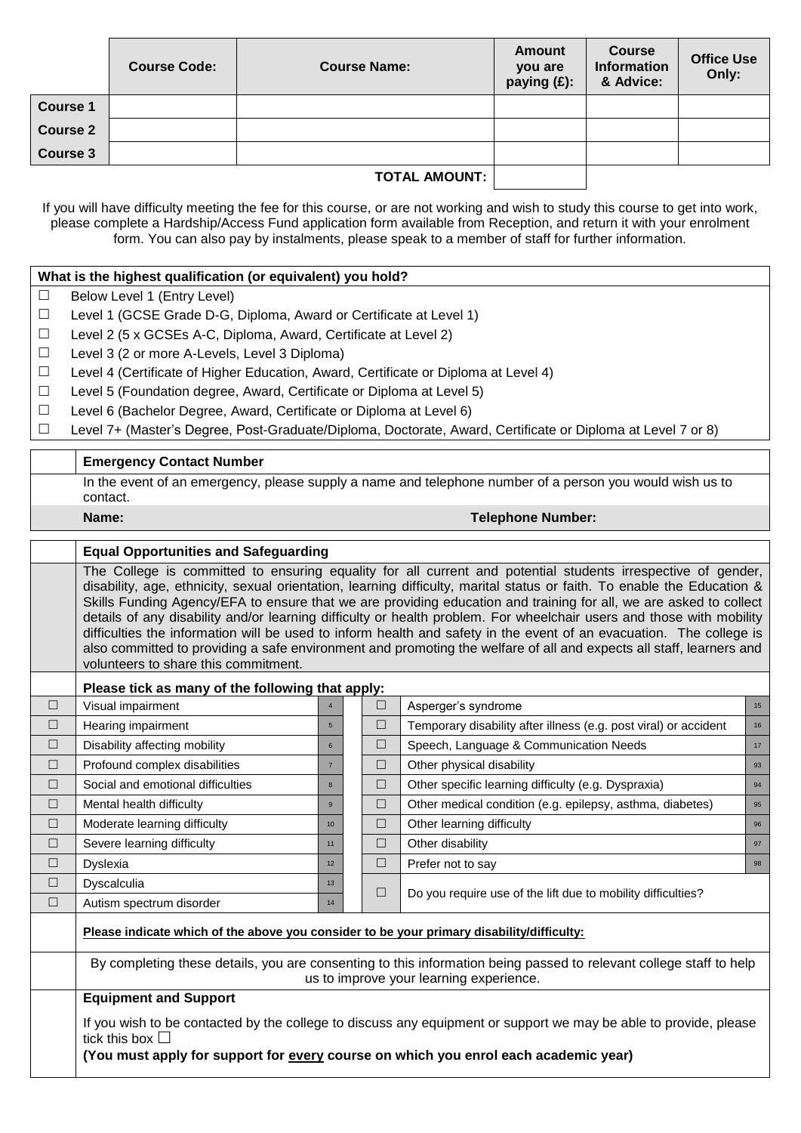|                      | <b>Course Code:</b> | <b>Course Name:</b> | <b>Amount</b><br>you are<br>paying (£): | <b>Course</b><br><b>Information</b><br>& Advice: | <b>Office Use</b><br>Only: |
|----------------------|---------------------|---------------------|-----------------------------------------|--------------------------------------------------|----------------------------|
| <b>Course 1</b>      |                     |                     |                                         |                                                  |                            |
| <b>Course 2</b>      |                     |                     |                                         |                                                  |                            |
| <b>Course 3</b>      |                     |                     |                                         |                                                  |                            |
| <b>TOTAL AMOUNT:</b> |                     |                     |                                         |                                                  |                            |

If you will have difficulty meeting the fee for this course, or are not working and wish to study this course to get into work, please complete a Hardship/Access Fund application form available from Reception, and return it with your enrolment form. You can also pay by instalments, please speak to a member of staff for further information.

# **What is the highest qualification (or equivalent) you hold?**

- $\Box$  Below Level 1 (Entry Level)
- $\Box$  Level 1 (GCSE Grade D-G, Diploma, Award or Certificate at Level 1)
- $\Box$  Level 2 (5 x GCSEs A-C, Diploma, Award, Certificate at Level 2)
- $\Box$  Level 3 (2 or more A-Levels, Level 3 Diploma)
- $\Box$  Level 4 (Certificate of Higher Education, Award, Certificate or Diploma at Level 4)
- $\Box$  Level 5 (Foundation degree, Award, Certificate or Diploma at Level 5)
- $\Box$  Level 6 (Bachelor Degree, Award, Certificate or Diploma at Level 6)
- Level 7+ (Master's Degree, Post-Graduate/Diploma, Doctorate, Award, Certificate or Diploma at Level 7 or 8)

| <b>Emergency Contact Number</b>                                                                                      |  |  |  |  |
|----------------------------------------------------------------------------------------------------------------------|--|--|--|--|
| In the event of an emergency, please supply a name and telephone number of a person you would wish us to<br>contact. |  |  |  |  |
| Name:<br><b>Telephone Number:</b>                                                                                    |  |  |  |  |

# **Equal Opportunities and Safeguarding**

The College is committed to ensuring equality for all current and potential students irrespective of gender, disability, age, ethnicity, sexual orientation, learning difficulty, marital status or faith. To enable the Education & Skills Funding Agency/EFA to ensure that we are providing education and training for all, we are asked to collect details of any disability and/or learning difficulty or health problem. For wheelchair users and those with mobility difficulties the information will be used to inform health and safety in the event of an evacuation. The college is also committed to providing a safe environment and promoting the welfare of all and expects all staff, learners and volunteers to share this commitment.

### **Please tick as many of the following that apply:**

|        | ----                                                                                      |                 |  |        |                                                                  |    |  |
|--------|-------------------------------------------------------------------------------------------|-----------------|--|--------|------------------------------------------------------------------|----|--|
| $\Box$ | Visual impairment                                                                         |                 |  | $\Box$ | Asperger's syndrome                                              | 15 |  |
| $\Box$ | Hearing impairment                                                                        | 5               |  | $\Box$ | Temporary disability after illness (e.g. post viral) or accident | 16 |  |
| $\Box$ | Disability affecting mobility                                                             | 6               |  | $\Box$ | Speech, Language & Communication Needs                           | 17 |  |
| $\Box$ | Profound complex disabilities                                                             |                 |  | □      | Other physical disability                                        | 93 |  |
| $\Box$ | Social and emotional difficulties                                                         | 8               |  | $\Box$ | Other specific learning difficulty (e.g. Dyspraxia)              | 94 |  |
| □      | Mental health difficulty                                                                  | $\mathbf{9}$    |  | □      | Other medical condition (e.g. epilepsy, asthma, diabetes)        | 95 |  |
| П      | Moderate learning difficulty                                                              | 10 <sup>1</sup> |  | $\Box$ | Other learning difficulty                                        | 96 |  |
| $\Box$ | Severe learning difficulty                                                                | 11              |  | □      | Other disability                                                 | 97 |  |
| □      | <b>Dyslexia</b>                                                                           | 12 <sup>2</sup> |  | □      | Prefer not to say                                                | 98 |  |
| $\Box$ | <b>Dyscalculia</b>                                                                        | 13              |  | $\Box$ |                                                                  |    |  |
| □      | Autism spectrum disorder                                                                  | 14              |  |        | Do you require use of the lift due to mobility difficulties?     |    |  |
|        | Please indicate which of the above you consider to be your primary disability/difficulty: |                 |  |        |                                                                  |    |  |

By completing these details, you are consenting to this information being passed to relevant college staff to help us to improve your learning experience.

# **Equipment and Support**

If you wish to be contacted by the college to discuss any equipment or support we may be able to provide, please tick this box  $\square$ 

**(You must apply for support for every course on which you enrol each academic year)**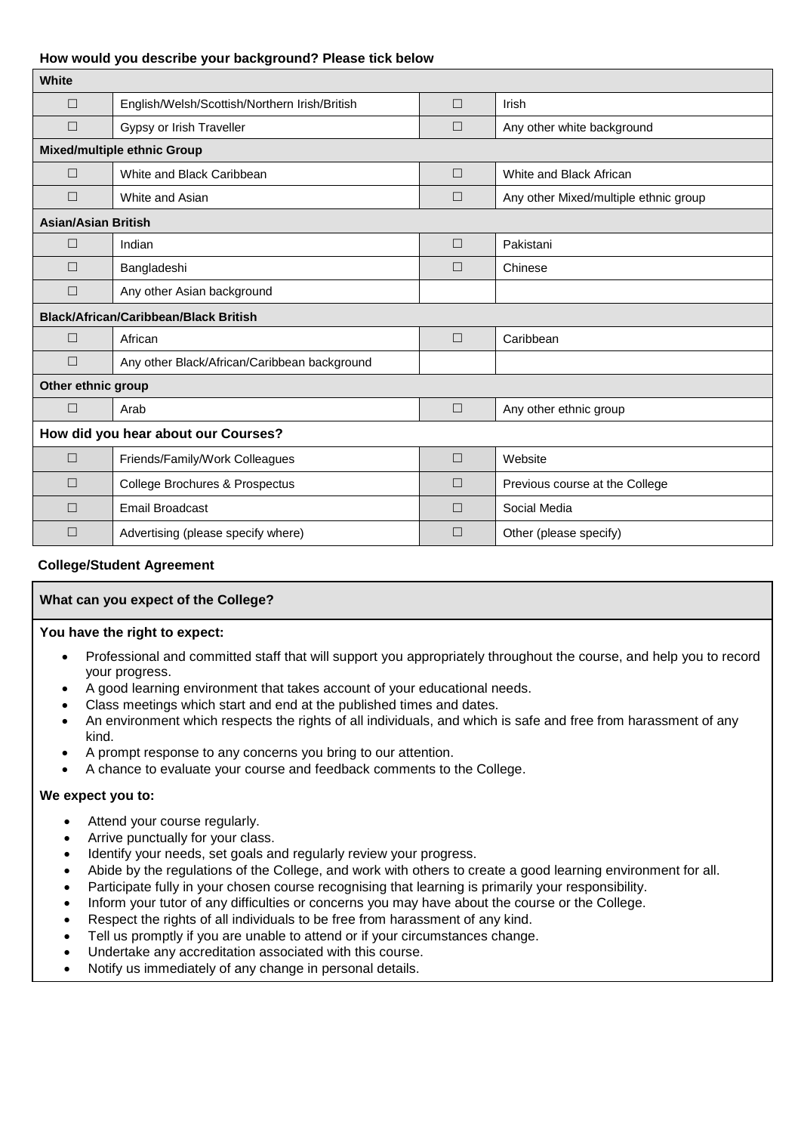### **How would you describe your background? Please tick below**

| White                                        |                                               |        |                                       |  |  |  |
|----------------------------------------------|-----------------------------------------------|--------|---------------------------------------|--|--|--|
| $\Box$                                       | English/Welsh/Scottish/Northern Irish/British | $\Box$ | Irish                                 |  |  |  |
| $\Box$                                       | Gypsy or Irish Traveller                      | $\Box$ | Any other white background            |  |  |  |
| <b>Mixed/multiple ethnic Group</b>           |                                               |        |                                       |  |  |  |
| $\Box$                                       | White and Black Caribbean                     | $\Box$ | White and Black African               |  |  |  |
| $\Box$                                       | White and Asian                               | $\Box$ | Any other Mixed/multiple ethnic group |  |  |  |
| <b>Asian/Asian British</b>                   |                                               |        |                                       |  |  |  |
| $\Box$                                       | Indian                                        | $\Box$ | Pakistani                             |  |  |  |
| П                                            | Bangladeshi                                   | $\Box$ | Chinese                               |  |  |  |
| $\Box$                                       | Any other Asian background                    |        |                                       |  |  |  |
| <b>Black/African/Caribbean/Black British</b> |                                               |        |                                       |  |  |  |
| П                                            | African                                       | $\Box$ | Caribbean                             |  |  |  |
| $\Box$                                       | Any other Black/African/Caribbean background  |        |                                       |  |  |  |
| Other ethnic group                           |                                               |        |                                       |  |  |  |
| П                                            | Arab                                          | $\Box$ | Any other ethnic group                |  |  |  |
| How did you hear about our Courses?          |                                               |        |                                       |  |  |  |
| $\Box$                                       | Friends/Family/Work Colleagues                | $\Box$ | Website                               |  |  |  |
| $\Box$                                       | College Brochures & Prospectus                | $\Box$ | Previous course at the College        |  |  |  |
| $\Box$                                       | <b>Email Broadcast</b>                        | $\Box$ | Social Media                          |  |  |  |
| □                                            | Advertising (please specify where)            | $\Box$ | Other (please specify)                |  |  |  |

# **College/Student Agreement**

### **What can you expect of the College?**

#### **You have the right to expect:**

- Professional and committed staff that will support you appropriately throughout the course, and help you to record your progress.
- A good learning environment that takes account of your educational needs.
- Class meetings which start and end at the published times and dates.
- An environment which respects the rights of all individuals, and which is safe and free from harassment of any kind.
- A prompt response to any concerns you bring to our attention.
- A chance to evaluate your course and feedback comments to the College.

#### **We expect you to:**

- Attend your course regularly.
- Arrive punctually for your class.
- Identify your needs, set goals and regularly review your progress.
- Abide by the regulations of the College, and work with others to create a good learning environment for all.
- Participate fully in your chosen course recognising that learning is primarily your responsibility.
- Inform your tutor of any difficulties or concerns you may have about the course or the College.
- Respect the rights of all individuals to be free from harassment of any kind.
- Tell us promptly if you are unable to attend or if your circumstances change.
- Undertake any accreditation associated with this course.
- Notify us immediately of any change in personal details.